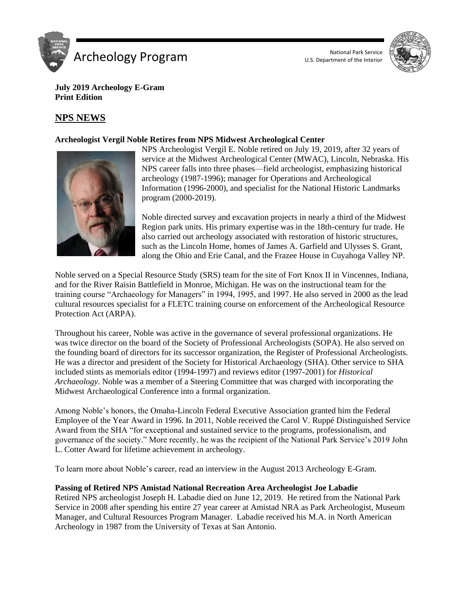



**July 2019 Archeology E-Gram Print Edition**

# **NPS NEWS**

## **Archeologist Vergil Noble Retires from NPS Midwest Archeological Center**



NPS Archeologist Vergil E. Noble retired on July 19, 2019, after 32 years of service at the Midwest Archeological Center (MWAC), Lincoln, Nebraska. His NPS career falls into three phases—field archeologist, emphasizing historical archeology (1987-1996); manager for Operations and Archeological Information (1996-2000), and specialist for the National Historic Landmarks program (2000-2019).

Noble directed survey and excavation projects in nearly a third of the Midwest Region park units. His primary expertise was in the 18th-century fur trade. He also carried out archeology associated with restoration of historic structures, such as the Lincoln Home, homes of James A. Garfield and Ulysses S. Grant, along the Ohio and Erie Canal, and the Frazee House in Cuyahoga Valley NP.

Noble served on a Special Resource Study (SRS) team for the site of Fort Knox II in Vincennes, Indiana, and for the River Raisin Battlefield in Monroe, Michigan. He was on the instructional team for the training course "Archaeology for Managers" in 1994, 1995, and 1997. He also served in 2000 as the lead cultural resources specialist for a FLETC training course on enforcement of the Archeological Resource Protection Act (ARPA).

Throughout his career, Noble was active in the governance of several professional organizations. He was twice director on the board of the Society of Professional Archeologists (SOPA). He also served on the founding board of directors for its successor organization, the Register of Professional Archeologists. He was a director and president of the Society for Historical Archaeology (SHA). Other service to SHA included stints as memorials editor (1994-1997) and reviews editor (1997-2001) for *Historical Archaeology*. Noble was a member of a Steering Committee that was charged with incorporating the Midwest Archaeological Conference into a formal organization.

Among Noble's honors, the Omaha-Lincoln Federal Executive Association granted him the Federal Employee of the Year Award in 1996. In 2011, Noble received the Carol V. Ruppé Distinguished Service Award from the SHA "for exceptional and sustained service to the programs, professionalism, and governance of the society." More recently, he was the recipient of the National Park Service's 2019 John L. Cotter Award for lifetime achievement in archeology.

To learn more about Noble's career, read an interview in the August 2013 Archeology E-Gram.

## **Passing of Retired NPS Amistad National Recreation Area Archeologist Joe Labadie**

Retired NPS archeologist Joseph H. Labadie died on June 12, 2019. He retired from the National Park Service in 2008 after spending his entire 27 year career at Amistad NRA as Park Archeologist, Museum Manager, and Cultural Resources Program Manager. Labadie received his M.A. in North American Archeology in 1987 from the University of Texas at San Antonio.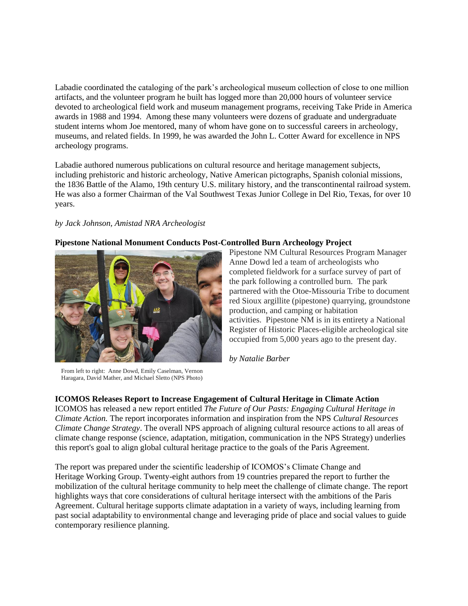Labadie coordinated the cataloging of the park's archeological museum collection of close to one million artifacts, and the volunteer program he built has logged more than 20,000 hours of volunteer service devoted to archeological field work and museum management programs, receiving Take Pride in America awards in 1988 and 1994. Among these many volunteers were dozens of graduate and undergraduate student interns whom Joe mentored, many of whom have gone on to successful careers in archeology, museums, and related fields. In 1999, he was awarded the John L. Cotter Award for excellence in NPS archeology programs.

Labadie authored numerous publications on cultural resource and heritage management subjects, including prehistoric and historic archeology, Native American pictographs, Spanish colonial missions, the 1836 Battle of the Alamo, 19th century U.S. military history, and the transcontinental railroad system. He was also a former Chairman of the Val Southwest Texas Junior College in Del Rio, Texas, for over 10 years.

## *by Jack Johnson, Amistad NRA Archeologist*

## **Pipestone National Monument Conducts Post-Controlled Burn Archeology Project**



Pipestone NM Cultural Resources Program Manager Anne Dowd led a team of archeologists who completed fieldwork for a surface survey of part of the park following a controlled burn. The park partnered with the Otoe-Missouria Tribe to document red Sioux argillite (pipestone) quarrying, groundstone production, and camping or habitation activities. Pipestone NM is in its entirety a National Register of Historic Places-eligible archeological site occupied from 5,000 years ago to the present day.

From left to right: Anne Dowd, Emily Caselman, Vernon

Haragara, David Mather, and Michael Sletto (NPS Photo)

## **ICOMOS Releases Report to Increase Engagement of Cultural Heritage in Climate Action**

ICOMOS has released a new report entitled *The Future of Our Pasts: Engaging Cultural Heritage in Climate Action.* The report incorporates information and inspiration from the NPS *Cultural Resources Climate Change Strategy*. The overall NPS approach of aligning cultural resource actions to all areas of climate change response (science, adaptation, mitigation, communication in the NPS Strategy) underlies this report's goal to align global cultural heritage practice to the goals of the Paris Agreement.

*by Natalie Barber*

The report was prepared under the scientific leadership of ICOMOS's Climate Change and Heritage Working Group. Twenty-eight authors from 19 countries prepared the report to further the mobilization of the cultural heritage community to help meet the challenge of climate change. The report highlights ways that core considerations of cultural heritage intersect with the ambitions of the Paris Agreement. Cultural heritage supports climate adaptation in a variety of ways, including learning from past social adaptability to environmental change and leveraging pride of place and social values to guide contemporary resilience planning.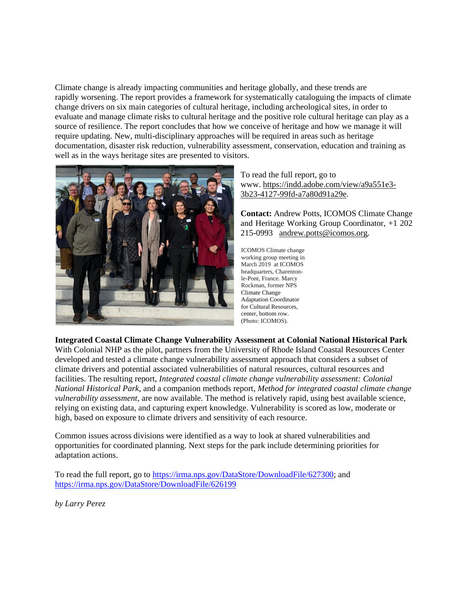Climate change is already impacting communities and heritage globally, and these trends are rapidly worsening. The report provides a framework for systematically cataloguing the impacts of climate change drivers on six main categories of cultural heritage, including archeological sites, in order to evaluate and manage climate risks to cultural heritage and the positive role cultural heritage can play as a source of resilience. The report concludes that how we conceive of heritage and how we manage it will require updating. New, multi-disciplinary approaches will be required in areas such as heritage documentation, disaster risk reduction, vulnerability assessment, conservation, education and training as well as in the ways heritage sites are presented to visitors.



To read the full report, go to www. [https://indd.adobe.com/view/a9a551e3-](https://indd.adobe.com/view/a9a551e3-3b23-4127-99fd-a7a80d91a29e) [3b23-4127-99fd-a7a80d91a29e.](https://indd.adobe.com/view/a9a551e3-3b23-4127-99fd-a7a80d91a29e)

**Contact:** Andrew Potts, ICOMOS Climate Change and Heritage Working Group Coordinator, +1 202 215-0993 [andrew.potts@icomos.org](mailto:andrew.potts@icomos.org)*.*

ICOMOS Climate change working group meeting in March 2019 at ICOMOS headquarters, Charentonle-Pont, France. Marcy Rockman, former NPS Climate Change Adaptation Coordinator for Cultural Resources, center, bottom row. (Photo: ICOMOS).

## **[Integrated Coastal Climate Change Vulnerability Assessment at Colonial National Historical Park](https://sites.google.com/a/nps.gov/insidenps/home/nps-news/integratedcoastalclimatechangevulnerabilityassessmentatcolonialnationalhistoricalpark)**

With Colonial NHP as the pilot, partners from the University of Rhode Island Coastal Resources Center developed and tested a climate change vulnerability assessment approach that considers a subset of climate drivers and potential associated vulnerabilities of natural resources, cultural resources and facilities. The resulting report, *Integrated coastal climate change vulnerability assessment: Colonial National Historical Park*, and a companion methods report, *Method for integrated coastal climate change vulnerability assessment*, are now available. The method is relatively rapid, using best available science, relying on existing data, and capturing expert knowledge. Vulnerability is scored as low, moderate or high, based on exposure to climate drivers and sensitivity of each resource.

Common issues across divisions were identified as a way to look at shared vulnerabilities and opportunities for coordinated planning. Next steps for the park include determining priorities for adaptation actions.

To read the full report, go to [https://irma.nps.gov/DataStore/DownloadFile/627300;](https://irma.nps.gov/DataStore/DownloadFile/627300) and <https://irma.nps.gov/DataStore/DownloadFile/626199>

*by Larry Perez*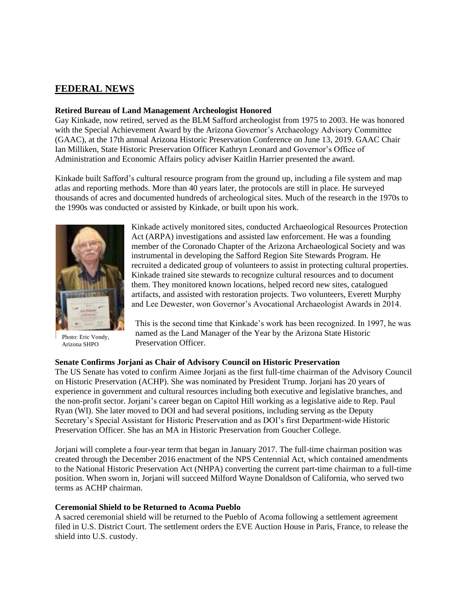# **FEDERAL NEWS**

### **Retired Bureau of Land Management Archeologist Honored**

Gay Kinkade, now retired, served as the BLM Safford archeologist from 1975 to 2003. He was honored with the Special Achievement Award by the Arizona Governor's Archaeology Advisory Committee (GAAC), at the 17th annual Arizona Historic Preservation Conference on June 13, 2019. GAAC Chair Ian Milliken, State Historic Preservation Officer Kathryn Leonard and Governor's Office of Administration and Economic Affairs policy adviser Kaitlin Harrier presented the award.

Kinkade built Safford's cultural resource program from the ground up, including a file system and map atlas and reporting methods. More than 40 years later, the protocols are still in place. He surveyed thousands of acres and documented hundreds of archeological sites. Much of the research in the 1970s to the 1990s was conducted or assisted by Kinkade, or built upon his work.



Photo: Eric Vondy, Arizona SHPO

Kinkade actively monitored sites, conducted Archaeological Resources Protection Act (ARPA) investigations and assisted law enforcement. He was a founding member of the Coronado Chapter of the Arizona Archaeological Society and was instrumental in developing the Safford Region Site Stewards Program. He recruited a dedicated group of volunteers to assist in protecting cultural properties. Kinkade trained site stewards to recognize cultural resources and to document them. They monitored known locations, helped record new sites, catalogued artifacts, and assisted with restoration projects. Two volunteers, Everett Murphy and Lee Dewester, won Governor's Avocational Archaeologist Awards in 2014.

This is the second time that Kinkade's work has been recognized. In 1997, he was named as the Land Manager of the Year by the Arizona State Historic Preservation Officer.

## **Senate Confirms Jorjani as Chair of Advisory Council on Historic Preservation**

The US Senate has voted to confirm Aimee Jorjani as the first full-time chairman of the Advisory Council on Historic Preservation (ACHP). She was nominated by President Trump. Jorjani has 20 years of experience in government and cultural resources including both executive and legislative branches, and the non-profit sector. Jorjani's career began on Capitol Hill working as a legislative aide to Rep. Paul Ryan (WI). She later moved to DOI and had several positions, including serving as the Deputy Secretary's Special Assistant for Historic Preservation and as DOI's first Department-wide Historic Preservation Officer. She has an MA in Historic Preservation from Goucher College.

Jorjani will complete a four-year term that began in January 2017. The full-time chairman position was created through the December 2016 enactment of the NPS Centennial Act, which contained amendments to the National Historic Preservation Act (NHPA) converting the current part-time chairman to a full-time position. When sworn in, Jorjani will succeed Milford Wayne Donaldson of California, who served two terms as ACHP chairman.

## **Ceremonial Shield to be Returned to Acoma Pueblo**

A sacred ceremonial shield will be returned to the Pueblo of Acoma following a settlement agreement filed in U.S. District Court. The settlement orders the EVE Auction House in Paris, France, to release the shield into U.S. custody.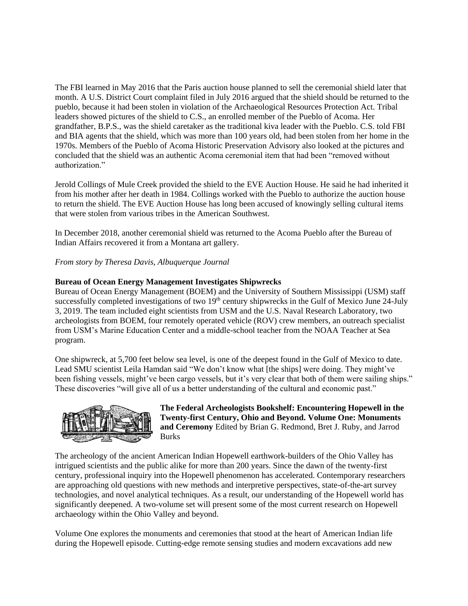The FBI learned in May 2016 that the Paris auction house planned to sell the ceremonial shield later that month. A U.S. District Court complaint filed in July 2016 argued that the shield should be returned to the pueblo, because it had been stolen in violation of the Archaeological Resources Protection Act. Tribal leaders showed pictures of the shield to C.S., an enrolled member of the Pueblo of Acoma. Her grandfather, B.P.S., was the shield caretaker as the traditional kiva leader with the Pueblo. C.S. told FBI and BIA agents that the shield, which was more than 100 years old, had been stolen from her home in the 1970s. Members of the Pueblo of Acoma Historic Preservation Advisory also looked at the pictures and concluded that the shield was an authentic Acoma ceremonial item that had been "removed without authorization."

Jerold Collings of Mule Creek provided the shield to the EVE Auction House. He said he had inherited it from his mother after her death in 1984. Collings worked with the Pueblo to authorize the auction house to return the shield. The EVE Auction House has long been accused of knowingly selling cultural items that were stolen from various tribes in the American Southwest.

In December 2018, another ceremonial shield was returned to the Acoma Pueblo after the Bureau of Indian Affairs recovered it from a Montana art gallery.

*From story by Theresa Davis, Albuquerque Journal*

#### **Bureau of Ocean Energy Management Investigates Shipwrecks**

Bureau of Ocean Energy Management (BOEM) and the University of Southern Mississippi (USM) staff successfully completed investigations of two 19<sup>th</sup> century shipwrecks in the Gulf of Mexico June 24-July 3, 2019. The team included eight scientists from USM and the U.S. Naval Research Laboratory, two archeologists from BOEM, four remotely operated vehicle (ROV) crew members, an outreach specialist from USM's Marine Education Center and a middle-school teacher from the NOAA Teacher at Sea program.

One shipwreck, at 5,700 feet below sea level, is one of the deepest found in the Gulf of Mexico to date. Lead SMU scientist Leila Hamdan said "We don't know what [the ships] were doing. They might've been fishing vessels, might've been cargo vessels, but it's very clear that both of them were sailing ships." These discoveries "will give all of us a better understanding of the cultural and economic past."



**The Federal Archeologists Bookshelf: Encountering Hopewell in the Twenty-first Century, Ohio and Beyond. Volume One: Monuments and Ceremony** Edited by Brian G. Redmond, Bret J. Ruby, and Jarrod Burks

The archeology of the ancient American Indian Hopewell earthwork-builders of the Ohio Valley has intrigued scientists and the public alike for more than 200 years. Since the dawn of the twenty-first century, professional inquiry into the Hopewell phenomenon has accelerated. Contemporary researchers are approaching old questions with new methods and interpretive perspectives, state-of-the-art survey technologies, and novel analytical techniques. As a result, our understanding of the Hopewell world has significantly deepened. A two-volume set will present some of the most current research on Hopewell archaeology within the Ohio Valley and beyond.

Volume One explores the monuments and ceremonies that stood at the heart of American Indian life during the Hopewell episode. Cutting-edge remote sensing studies and modern excavations add new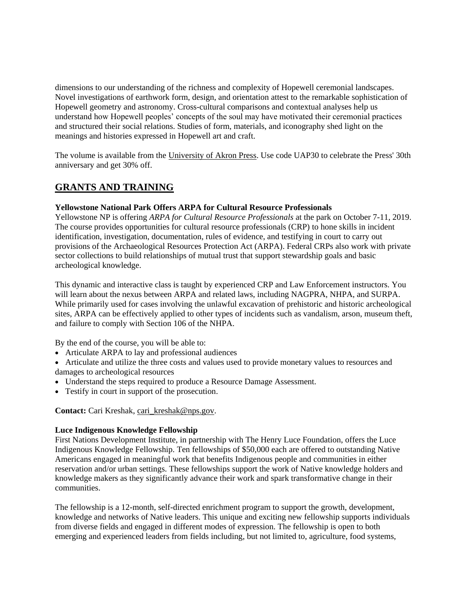dimensions to our understanding of the richness and complexity of Hopewell ceremonial landscapes. Novel investigations of earthwork form, design, and orientation attest to the remarkable sophistication of Hopewell geometry and astronomy. Cross-cultural comparisons and contextual analyses help us understand how Hopewell peoples' concepts of the soul may have motivated their ceremonial practices and structured their social relations. Studies of form, materials, and iconography shed light on the meanings and histories expressed in Hopewell art and craft.

The volume is available from the [University of Akron Press.](https://blogs.uakron.edu/uapress/product/encountering-hopewell-in-the-twenty-first-century-ohio-and-beyond-vol-1/) Use code UAP30 to celebrate the Press' 30th anniversary and get 30% off.

# **GRANTS AND TRAINING**

#### **Yellowstone National Park Offers ARPA for Cultural Resource Professionals**

Yellowstone NP is offering *ARPA for Cultural Resource Professionals* at the park on October 7-11, 2019. The course provides opportunities for cultural resource professionals (CRP) to hone skills in incident identification, investigation, documentation, rules of evidence, and testifying in court to carry out provisions of the Archaeological Resources Protection Act (ARPA). Federal CRPs also work with private sector collections to build relationships of mutual trust that support stewardship goals and basic archeological knowledge.

This dynamic and interactive class is taught by experienced CRP and Law Enforcement instructors. You will learn about the nexus between ARPA and related laws, including NAGPRA, NHPA, and SURPA. While primarily used for cases involving the unlawful excavation of prehistoric and historic archeological sites, ARPA can be effectively applied to other types of incidents such as vandalism, arson, museum theft, and failure to comply with Section 106 of the NHPA.

By the end of the course, you will be able to:

- Articulate ARPA to lay and professional audiences
- Articulate and utilize the three costs and values used to provide monetary values to resources and damages to archeological resources
- Understand the steps required to produce a Resource Damage Assessment.
- Testify in court in support of the prosecution.

**Contact:** Cari Kreshak, [cari\\_kreshak@nps.gov.](mailto:cari_kreshak@nps.gov)

#### **Luce Indigenous Knowledge Fellowship**

First Nations Development Institute, in partnership with The Henry Luce Foundation, offers the Luce Indigenous Knowledge Fellowship. Ten fellowships of \$50,000 each are offered to outstanding Native Americans engaged in meaningful work that benefits Indigenous people and communities in either reservation and/or urban settings. These fellowships support the work of Native knowledge holders and knowledge makers as they significantly advance their work and spark transformative change in their communities.

The fellowship is a 12-month, self-directed enrichment program to support the growth, development, knowledge and networks of Native leaders. This unique and exciting new fellowship supports individuals from diverse fields and engaged in different modes of expression. The fellowship is open to both emerging and experienced leaders from fields including, but not limited to, agriculture, food systems,